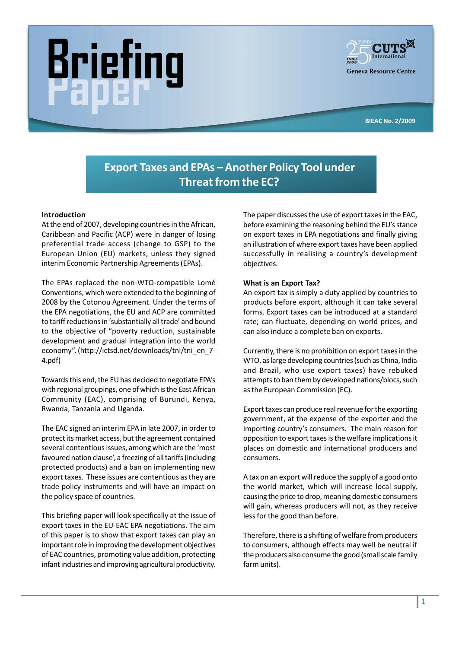# riel



BIEAC No. 2/2009

# Export Taxes and EPAs - Another Policy Tool under Threat from the EC?

# Introduction

At the end of 2007, developing countries in the African, Caribbean and Pacific (ACP) were in danger of losing preferential trade access (change to GSP) to the European Union (EU) markets, unless they signed interim Economic Partnership Agreements (EPAs).

The EPAs replaced the non-WTO-compatible Lomé Conventions, which were extended to the beginning of 2008 by the Cotonou Agreement. Under the terms of the EPA negotiations, the EU and ACP are committed to tariff reductions in 'substantially all trade' and bound to the objective of "poverty reduction, sustainable development and gradual integration into the world economy". (http://ictsd.net/downloads/tni/tni\_en\_7-4.pdf)

Towards this end, the EU has decided to negotiate EPA's with regional groupings, one of which is the East African Community (EAC), comprising of Burundi, Kenya, Rwanda, Tanzania and Uganda.

The EAC signed an interim EPA in late 2007, in order to protect its market access, but the agreement contained several contentious issues, among which are the 'most favoured nation clause', a freezing of all tariffs (including protected products) and a ban on implementing new export taxes. These issues are contentious as they are trade policy instruments and will have an impact on the policy space of countries.

This briefing paper will look specifically at the issue of export taxes in the EU-EAC EPA negotiations. The aim of this paper is to show that export taxes can play an important role in improving the development objectives of EAC countries, promoting value addition, protecting infant industries and improving agricultural productivity. The paper discusses the use of export taxes in the EAC, before examining the reasoning behind the EU's stance on export taxes in EPA negotiations and finally giving an illustration of where export taxes have been applied successfully in realising a country's development objectives.

### What is an Export Tax?

An export tax is simply a duty applied by countries to products before export, although it can take several forms. Export taxes can be introduced at a standard rate; can fluctuate, depending on world prices, and can also induce a complete ban on exports.

Currently, there is no prohibition on export taxes in the WTO, as large developing countries (such as China, India and Brazil, who use export taxes) have rebuked attempts to ban them by developed nations/blocs, such as the European Commission (EC).

Export taxes can produce real revenue for the exporting government, at the expense of the exporter and the importing country's consumers. The main reason for opposition to export taxes is the welfare implications it places on domestic and international producers and consumers.

A tax on an export will reduce the supply of a good onto the world market, which will increase local supply, causing the price to drop, meaning domestic consumers will gain, whereas producers will not, as they receive less for the good than before.

Therefore, there is a shifting of welfare from producers to consumers, although effects may well be neutral if the producers also consume the good (small scale family farm units).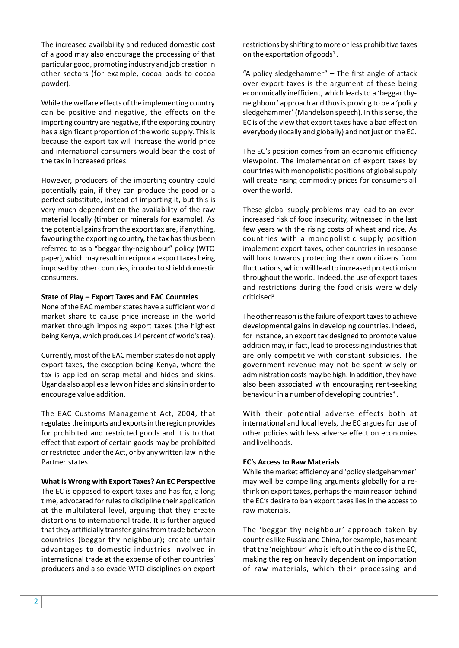The increased availability and reduced domestic cost of a good may also encourage the processing of that particular good, promoting industry and job creation in other sectors (for example, cocoa pods to cocoa powder).

While the welfare effects of the implementing country can be positive and negative, the effects on the importing country are negative, if the exporting country has a significant proportion of the world supply. This is because the export tax will increase the world price and international consumers would bear the cost of the tax in increased prices.

However, producers of the importing country could potentially gain, if they can produce the good or a perfect substitute, instead of importing it, but this is very much dependent on the availability of the raw material locally (timber or minerals for example). As the potential gains from the export tax are, if anything, favouring the exporting country, the tax has thus been referred to as a "beggar thy-neighbour" policy (WTO paper), which may result in reciprocal export taxes being imposed by other countries, in order to shield domestic consumers.

### State of Play - Export Taxes and EAC Countries

None of the EAC member states have a sufficient world market share to cause price increase in the world market through imposing export taxes (the highest being Kenya, which produces 14 percent of world's tea).

Currently, most of the EAC member states do not apply export taxes, the exception being Kenya, where the tax is applied on scrap metal and hides and skins. Uganda also applies a levy on hides and skins in order to encourage value addition.

The EAC Customs Management Act, 2004, that regulates the imports and exports in the region provides for prohibited and restricted goods and it is to that effect that export of certain goods may be prohibited or restricted under the Act, or by any written law in the Partner states.

### What is Wrong with Export Taxes? An EC Perspective

The EC is opposed to export taxes and has for, a long time, advocated for rules to discipline their application at the multilateral level, arguing that they create distortions to international trade. It is further argued that they artificially transfer gains from trade between countries (beggar thy-neighbour); create unfair advantages to domestic industries involved in international trade at the expense of other countries producers and also evade WTO disciplines on export restrictions by shifting to more or less prohibitive taxes on the exportation of goods<sup>1</sup>.

"A policy sledgehammer"  $-$  The first angle of attack over export taxes is the argument of these being economically inefficient, which leads to a 'beggar thyneighbour' approach and thus is proving to be a 'policy sledgehammer' (Mandelson speech). In this sense, the EC is of the view that export taxes have a bad effect on everybody (locally and globally) and not just on the EC.

The EC's position comes from an economic efficiency viewpoint. The implementation of export taxes by countries with monopolistic positions of global supply will create rising commodity prices for consumers all over the world.

These global supply problems may lead to an everincreased risk of food insecurity, witnessed in the last few years with the rising costs of wheat and rice. As countries with a monopolistic supply position implement export taxes, other countries in response will look towards protecting their own citizens from fluctuations, which will lead to increased protectionism throughout the world. Indeed, the use of export taxes and restrictions during the food crisis were widely criticised<sup>2</sup>.

The other reason is the failure of export taxes to achieve developmental gains in developing countries. Indeed, for instance, an export tax designed to promote value addition may, in fact, lead to processing industries that are only competitive with constant subsidies. The government revenue may not be spent wisely or administration costs may be high. In addition, they have also been associated with encouraging rent-seeking behaviour in a number of developing countries<sup>3</sup>.

With their potential adverse effects both at international and local levels, the EC argues for use of other policies with less adverse effect on economies and livelihoods.

### **EC's Access to Raw Materials**

While the market efficiency and 'policy sledgehammer' may well be compelling arguments globally for a rethink on export taxes, perhaps the main reason behind the EC's desire to ban export taxes lies in the access to raw materials.

The 'beggar thy-neighbour' approach taken by countries like Russia and China, for example, has meant that the 'neighbour' who is left out in the cold is the EC, making the region heavily dependent on importation of raw materials, which their processing and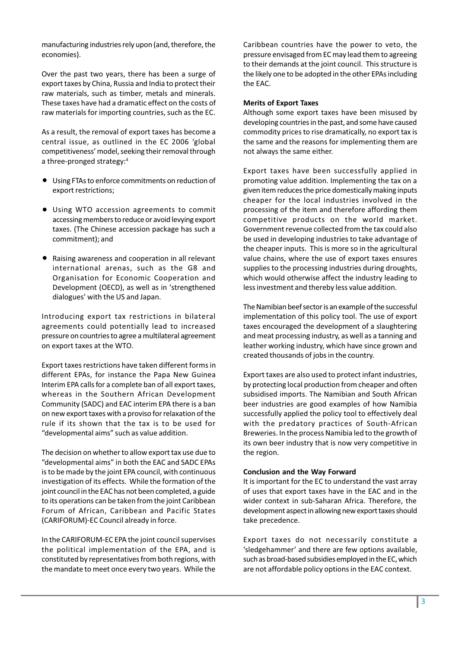manufacturing industries rely upon (and, therefore, the economies).

Over the past two years, there has been a surge of export taxes by China, Russia and India to protect their raw materials, such as timber, metals and minerals. These taxes have had a dramatic effect on the costs of raw materials for importing countries, such as the EC.

As a result, the removal of export taxes has become a central issue, as outlined in the EC 2006 'global competitiveness' model, seeking their removal through a three-pronged strategy:4

- Using FTAs to enforce commitments on reduction of export restrictions;
- Using WTO accession agreements to commit accessing members to reduce or avoid levying export taxes. (The Chinese accession package has such a commitment); and
- Raising awareness and cooperation in all relevant international arenas, such as the G8 and Organisation for Economic Cooperation and Development (OECD), as well as in 'strengthened dialogues' with the US and Japan.

Introducing export tax restrictions in bilateral agreements could potentially lead to increased pressure on countries to agree a multilateral agreement on export taxes at the WTO.

Export taxes restrictions have taken different forms in different EPAs, for instance the Papa New Guinea Interim EPA calls for a complete ban of all export taxes, whereas in the Southern African Development Community (SADC) and EAC interim EPA there is a ban on new export taxes with a proviso for relaxation of the rule if its shown that the tax is to be used for "developmental aims" such as value addition.

The decision on whether to allow export tax use due to "developmental aims" in both the EAC and SADC EPAs is to be made by the joint EPA council, with continuous investigation of its effects. While the formation of the joint council in the EAC has not been completed, a guide to its operations can be taken from the joint Caribbean Forum of African, Caribbean and Pacific States (CARIFORUM)-EC Council already in force.

In the CARIFORUM-EC EPA the joint council supervises the political implementation of the EPA, and is constituted by representatives from both regions, with the mandate to meet once every two years. While the Caribbean countries have the power to veto, the pressure envisaged from EC may lead them to agreeing to their demands at the joint council. This structure is the likely one to be adopted in the other EPAs including the EAC.

### Merits of Export Taxes

Although some export taxes have been misused by developing countries in the past, and some have caused commodity prices to rise dramatically, no export tax is the same and the reasons for implementing them are not always the same either.

Export taxes have been successfully applied in promoting value addition. Implementing the tax on a given item reduces the price domestically making inputs cheaper for the local industries involved in the processing of the item and therefore affording them competitive products on the world market. Government revenue collected from the tax could also be used in developing industries to take advantage of the cheaper inputs. This is more so in the agricultural value chains, where the use of export taxes ensures supplies to the processing industries during droughts, which would otherwise affect the industry leading to less investment and thereby less value addition.

The Namibian beef sector is an example of the successful implementation of this policy tool. The use of export taxes encouraged the development of a slaughtering and meat processing industry, as well as a tanning and leather working industry, which have since grown and created thousands of jobs in the country.

Export taxes are also used to protect infant industries, by protecting local production from cheaper and often subsidised imports. The Namibian and South African beer industries are good examples of how Namibia successfully applied the policy tool to effectively deal with the predatory practices of South-African Breweries. In the process Namibia led to the growth of its own beer industry that is now very competitive in the region.

### Conclusion and the Way Forward

It is important for the EC to understand the vast array of uses that export taxes have in the EAC and in the wider context in sub-Saharan Africa. Therefore, the development aspect in allowing new export taxes should take precedence.

Export taxes do not necessarily constitute a 'sledgehammer' and there are few options available, such as broad-based subsidies employed in the EC, which are not affordable policy options in the EAC context.